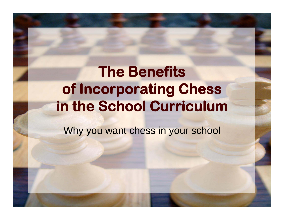#### **The Benefitsof Incorporating Chess in the School Curriculum**

Why you want chess in your school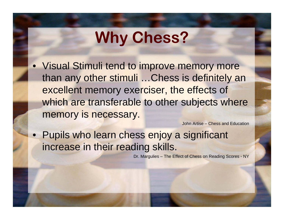• Visual Stimuli tend to improve memory more than any other stimuli …Chess is definitely an excellent memory exerciser, the effects of which are transferable to other subjects where memory is necessary.

John Artise – Chess and Education

• Pupils who learn chess enjoy a significant increase in their reading skills.

Dr. Margulies – The Effect of Chess on Reading Scores - NY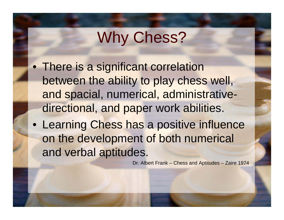- There is a significant correlation between the ability to play chess well, and spacial, numerical, administrativedirectional, and paper work abilities.
- Learning Chess has a positive influence on the development of both numerical and verbal aptitudes.

Dr. Albert Frank – Chess and Aptitudes – Zaire 1974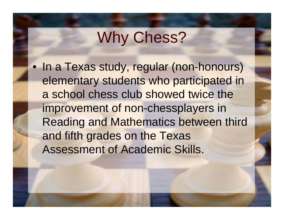• In a Texas study, regular (non-honours) elementary students who participated in a school chess club showed twice the improvement of non-chessplayers in Reading and Mathematics between third and fifth grades on the Texas Assessment of Academic Skills.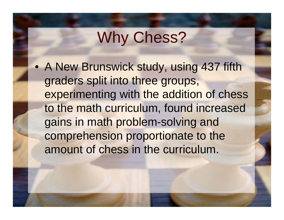• A New Brunswick study, using 437 fifth graders split into three groups, experimenting with the addition of chess to the math curriculum, found increased gains in math problem-solving and comprehension proportionate to the amount of chess in the curriculum.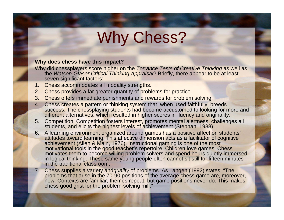#### **Why does chess have this impact?**

- Why did chessplayers score higher on the *Torrance Tests of Creative Thinking* as well as the *Watson-Glaser Critical Thinking Appraisal*? Briefly, there appear to be at least seven significant factors:
- 1. Chess accommodates all modality strengths.
- 2. Chess provides a far greater quantity of problems for practice.
- 3. Chess offers immediate punishments and rewards for problem solving.
- 4. Chess creates a pattern or thinking system that, when used faithfully, breeds success. The chessplaying students had become accustomed to looking for more and different alternatives, which resulted in higher scores in fluency and originality.
- 5. Competition. Competition fosters interest, promotes mental alertness, challenges all students, and elicits the highest levels of achievement (Stephan, 1988).
- 6. A learning environment organized around games has a positive affect on students' attitudes toward learning. This affective dimension acts as a facilitator of cognitive achievement (Allen & Main, 1976). Instructional gaming is one of the most motivational tools in the good teacher's repertoire. Children love games. Chess motivates them to become willing problem solvers and spend hours quietly immersed in logical thinking. These same young people often cannot sit still for fifteen minutes in the traditional classroom.
- 7. Chess supplies a variety and*quality* of problems. As Langen (1992) states: "The problems that arise in the 70-90 positions of the average chess game are, moreover, new. Contexts are familiar, themes repeat, but game positions never do. This makes chess good grist for the problem-solving mill."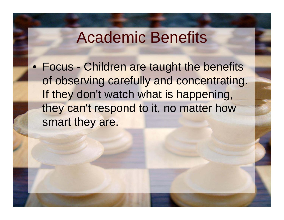• Focus - Children are taught the benefits of observing carefully and concentrating. If they don't watch what is happening, they can't respond to it, no matter how smart they are.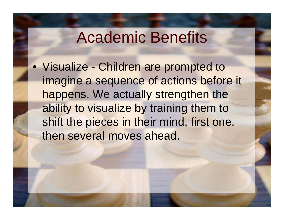• Visualize - Children are prompted to imagine a sequence of actions before it happens. We actually strengthen the ability to visualize by training them to shift the pieces in their mind, first one, then several moves ahead.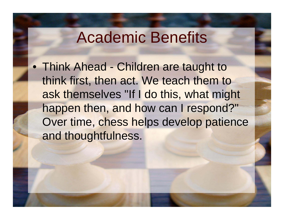• Think Ahead - Children are taught to think first, then act. We teach them to ask themselves "If I do this, what might happen then, and how can I respond?" Over time, chess helps develop patience and thoughtfulness.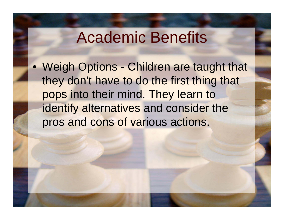• Weigh Options - Children are taught that they don't have to do the first thing that pops into their mind. They learn to identify alternatives and consider the pros and cons of various actions.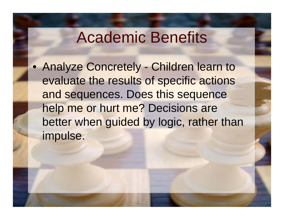• Analyze Concretely - Children learn to evaluate the results of specific actions and sequences. Does this sequence help me or hurt me? Decisions are better when guided by logic, rather than impulse.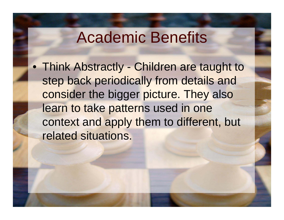• Think Abstractly - Children are taught to step back periodically from details and consider the bigger picture. They also learn to take patterns used in one context and apply them to different, but related situations.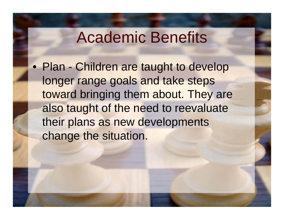• Plan - Children are taught to develop longer range goals and take steps toward bringing them about. They are also taught of the need to reevaluate their plans as new developments change the situation.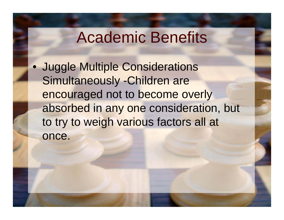$\bullet$  Juggle Multiple Considerations Simultaneously -Children are encouraged not to become overly absorbed in any one consideration, but to try to weigh various factors all at once.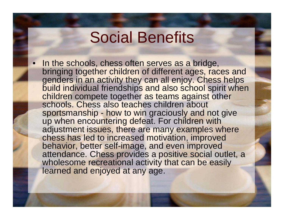#### Social Benefits

• In the schools, chess often serves as a bridge, bringing together children of different ages, races and genders in an activity they can all enjoy. Chess helps build individual friendships and also school spirit when children compete together as teams against other schools. Chess also teaches children about sportsmanship - how to win graciously and not give up when encountering defeat. For children with adjustment issues, there are many examples where chess has led to increased motivation, improved behavior, better self-image, and even improved attendance. Chess provides a positive social outlet, a wholesome recreational activity that can be easily learned and enjoyed at any age.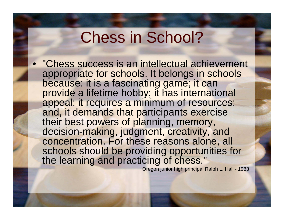• "Chess success is an intellectual achievement appropriate for schools. It belongs in schools because: it is a fascinating game; it can provide a lifetime hobby; it has international appeal; it requires a minimum of resources; and, it demands that participants exercise their best powers of planning, memory, decision-making, judgment, creativity, and concentration. For these reasons alone, all schools should be providing opportunities for the learning and practicing of chess."

Oregon junior high principal Ralph L. Hall - 1983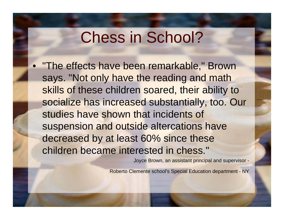• "The effects have been remarkable," Brown says. "Not only have the reading and math skills of these children soared, their ability to socialize has increased substantially, too. Our studies have shown that incidents of suspension and outside altercations have decreased by at least 60% since these children became interested in chess."

Joyce Brown, an assistant principal and supervisor -

Roberto Clemente school's Special Education department - NY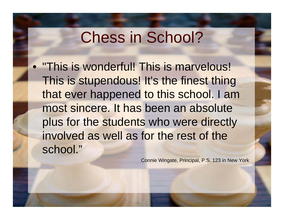• "This is wonderful! This is marvelous! This is stupendous! It's the finest thing that ever happened to this school. I am most sincere. It has been an absolute plus for the students who were directly involved as well as for the rest of the school."

Connie Wingate, Principal, P.S. 123 in New York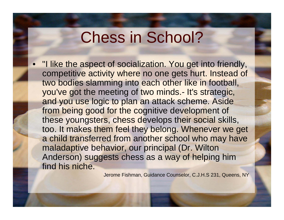• "I like the aspect of socialization. You get into friendly, competitive activity where no one gets hurt. Instead of two bodies slamming into each other like in football, you've got the meeting of two minds.- It's strategic, and you use logic to plan an attack scheme. Aside from being good for the cognitive development of these youngsters, chess develops their social skills, too. It makes them feel they belong. Whenever we get a child transferred from another school who may have maladaptive behavior, our principal (Dr. Wilton Anderson) suggests chess as a way of helping him find his niche.

Jerome Fishman, Guidance Counselor, C.J.H.S 231, Queens, NY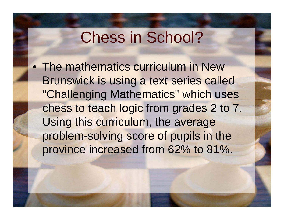• The mathematics curriculum in New Brunswick is using a text series called "Challenging Mathematics" which uses chess to teach logic from grades 2 to 7. Using this curriculum, the average problem-solving score of pupils in the province increased from 62% to 81%.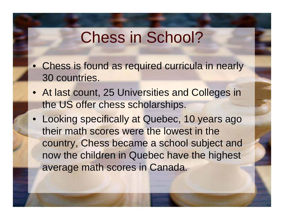- Chess is found as required curricula in nearly 30 countries.
- At last count, 25 Universities and Colleges in the US offer chess scholarships.
- Looking specifically at Quebec, 10 years ago their math scores were the lowest in the country, Chess became a school subject and now the children in Quebec have the highest average math scores in Canada.